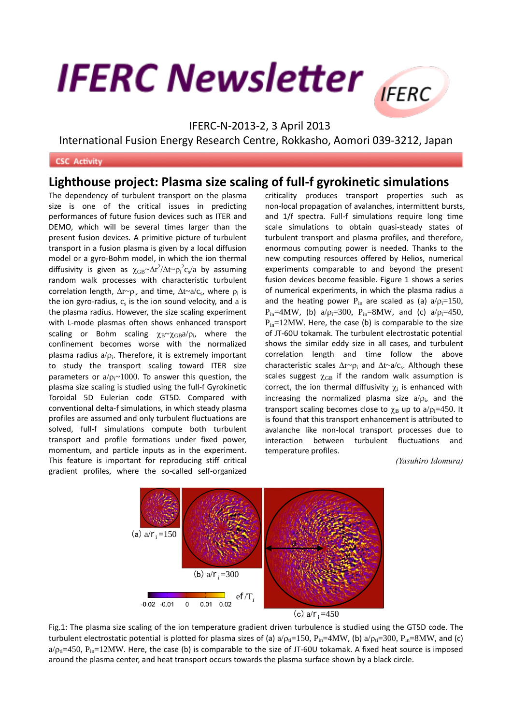## **IFERC Newsletter**



## IFERC-N-2013-2, 3 April 2013

International Fusion Energy Research Centre, Rokkasho, Aomori 039-3212, Japan

## **CSC Activity**

## **Lighthouse project: Plasma size scaling of full-f gyrokinetic simulations**

The dependency of turbulent transport on the plasma size is one of the critical issues in predicting performances of future fusion devices such as ITER and DEMO, which will be several times larger than the present fusion devices. A primitive picture of turbulent transport in a fusion plasma is given by a local diffusion model or a gyro-Bohm model, in which the ion thermal diffusivity is given as  $\chi_{GB} \sim \Delta r^2/\Delta t \sim \rho_i^2 c_s/a$  by assuming random walk processes with characteristic turbulent correlation length,  $\Delta r \sim \rho_i$ , and time,  $\Delta t \sim a/c_s$ , where  $\rho_i$  is the ion gyro-radius,  $c_s$  is the ion sound velocity, and a is the plasma radius. However, the size scaling experiment with L-mode plasmas often shows enhanced transport scaling or Bohm scaling  $\chi_{\rm B} \sim \chi_{\rm GB} a / \rho_{\rm i}$ , where the confinement becomes worse with the normalized plasma radius  $a/\rho_i$ . Therefore, it is extremely important to study the transport scaling toward ITER size parameters or  $a/p_i~1000$ . To answer this question, the plasma size scaling is studied using the full-f Gyrokinetic Toroidal 5D Eulerian code GT5D. Compared with conventional delta-f simulations, in which steady plasma profiles are assumed and only turbulent fluctuations are solved, full-f simulations compute both turbulent transport and profile formations under fixed power, momentum, and particle inputs as in the experiment. This feature is important for reproducing stiff critical gradient profiles, where the so-called self-organized

criticality produces transport properties such as non-local propagation of avalanches, intermittent bursts, and 1/f spectra. Full-f simulations require long time scale simulations to obtain quasi-steady states of turbulent transport and plasma profiles, and therefore, enormous computing power is needed. Thanks to the new computing resources offered by Helios, numerical experiments comparable to and beyond the present fusion devices become feasible. Figure 1 shows a series of numerical experiments, in which the plasma radius a and the heating power  $P_{in}$  are scaled as (a)  $a/\rho_i=150$ ,  $P_{in}=4MW$ , (b)  $a/\rho_i=300$ ,  $P_{in}=8MW$ , and (c)  $a/\rho_i=450$ ,  $P_{in}=12MW$ . Here, the case (b) is comparable to the size of JT-60U tokamak. The turbulent electrostatic potential shows the similar eddy size in all cases, and turbulent correlation length and time follow the above characteristic scales  $\Delta r \sim \rho_i$  and  $\Delta t \sim a/c_s$ . Although these scales suggest  $\chi$ <sub>GB</sub> if the random walk assumption is correct, the ion thermal diffusivity  $\chi_i$  is enhanced with increasing the normalized plasma size  $a/\rho_i$ , and the transport scaling becomes close to  $\chi_B$  up to a/ $\rho_i=450$ . It is found that this transport enhancement is attributed to avalanche like non-local transport processes due to interaction between turbulent fluctuations and temperature profiles.

*(Yasuhiro Idomura)*



Fig.1: The plasma size scaling of the ion temperature gradient driven turbulence is studied using the GT5D code. The turbulent electrostatic potential is plotted for plasma sizes of (a)  $a/\rho_{ti}=150$ ,  $P_{in}=4MW$ , (b)  $a/\rho_{ti}=300$ ,  $P_{in}=8MW$ , and (c)  $a/\rho_{\text{ii}}=450$ ,  $P_{\text{in}}=12\text{MW}$ . Here, the case (b) is comparable to the size of JT-60U tokamak. A fixed heat source is imposed around the plasma center, and heat transport occurs towards the plasma surface shown by a black circle.